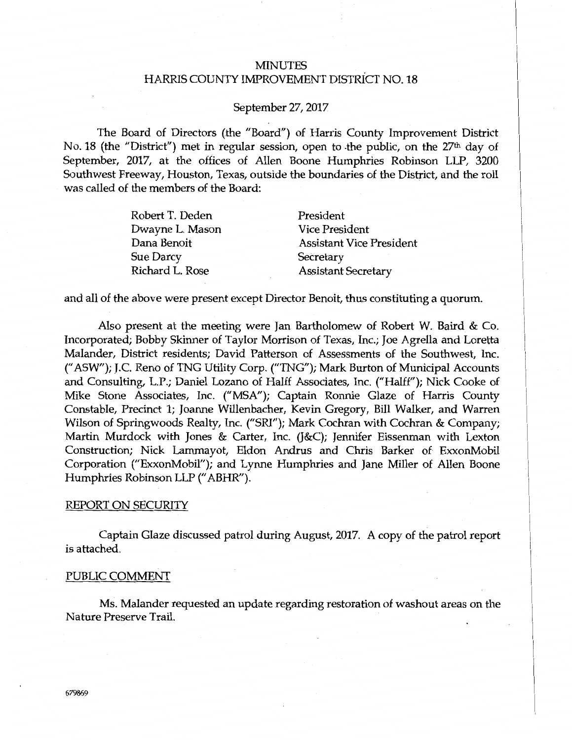# MINUTES HARRIS COUNTY IMPROVEMENT DISTRiCT NO. 18

## September 27, 2017

The Board of Directors (the "Board") of Harris County Improvement District No. 18 (the "District") met in regular session, open to the public, on the 27<sup>th</sup> day of September, 2017, at the offices of Allen Boone Humphries Robinson LLP, 3200 Southwest Freeway, Houston, Texas, outside the boundaries of the District, and the roll was called of the members of the Board:

| President                       |
|---------------------------------|
| <b>Vice President</b>           |
| <b>Assistant Vice President</b> |
| Secretary                       |
| <b>Assistant Secretary</b>      |
|                                 |

and all of the above were present except Director Benoit, thus constituting a quorum.

Also present at the meeting were Jan Bartholomew of Robert W. Baird & Co. Incorporated; Bobby Skinner of Taylor Morrison of Texas, Inc.; Joe Agrella and Loretta Malander, District residents; David Patterson of Assessments of the Southwest, Inc. (" ASW"); J.C. Reno of TNG Utility Corp. ("TNG"); Mark Burton of Municipal Accounts and Consulting, L.P.; Daniel Lozano of Halff Associates, Inc. ("Halff"); Nick Cooke of Mike Stone Associates, Inc. ("MSA"); Captain Ronnie Glaze of Harris County Constable, Precinct 1; Joanne Willenbacher, Kevin Gregory, Bill Walker, and Warren Wilson of Springwoods Realty, Inc. ("SRI"); Mark Cochran with Cochran & Company; Martin Murdock with Jones & Carter, Inc. (J&C); Jennifer Eissenman with Lexton Construction; Nick Lammayot, Eldon Andrus and Chris Barker of ExxonMobil Corporation ("ExxonMobil"); and Lynne Humphries and Jane Miller of Allen Boone Humphries Robinson LLP (" ABHR").

#### REPORT ON SECURITY

Captain Glaze discussed patrol during August, 2017. A copy of the patrol report is attached.

#### PUBLIC COMMENT

Ms. Malander requested an update regarding restoration of washout areas on the Nature Preserve Trail.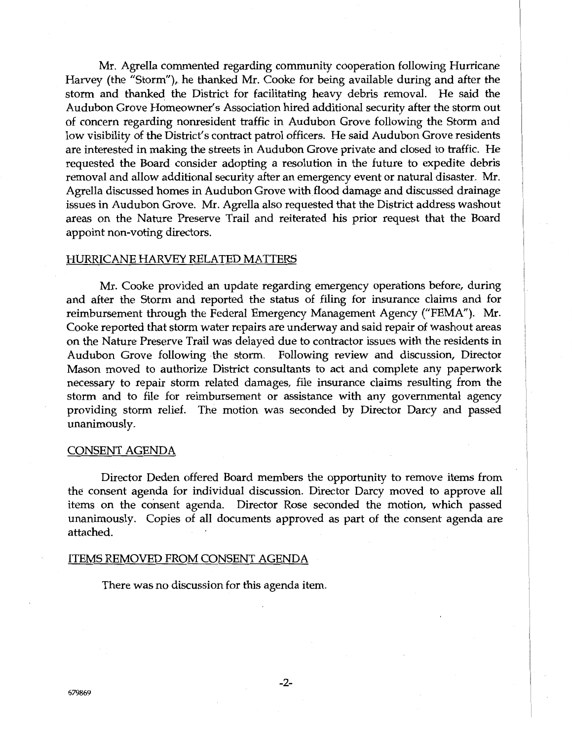Mr. Agrella commented regarding community cooperation following Hurricane Harvey (the "Storm"), he thanked Mr. Cooke for being available during and after the storm and thanked the District for facilitating heavy debris removal. He said the Audubon Grove Homeowner's Association hired additional security after the storm out of concern regarding nonresident traffic in Audubon Grove following the Storm and low visibility of the District's contract patrol officers. He said Audubon Grove residents are interested in making the streets in Audubon Grove private and closed to traffic. He requested the Board consider adopting a resolution in the future to expedite debris removal and allow additional security after an emergency event or natural disaster. Mr. Agrella discussed homes in Audubon Grove with flood damage and discussed drainage issues in Audubon Grove. Mr. Agrella also requested that the District address washout areas on the Nature Preserve Trail and reiterated his prior request that the Board appoint non-voting directors.

## HURRICANE HARVEY RELATED MATTERS

Mr. Cooke provided an update regarding emergency operations before, during and after the Storm and reported the status of filing for insurance claims and for reimbursement through the Federal Emergency Management Agency ("FEMA"). Mr. Cooke reported that storm water repairs are underway and said repair of washout areas on the Nature Preserve Trail was delayed due to contractor issues with the residents in Audubon Grove following the storm. Following review and discussion, Director Mason moved to authorize District consultants to act and complete any paperwork necessary to repair storm related damages, file insurance claims resulting from the storm and to file for reimbursement or assistance with any governmental agency providing storm relief. The motion was seconded by Director Darcy and passed unanimously.

#### CONSENT AGENDA

Director Deden offered Board members the opportunity to remove items from the consent agenda for individual discussion. Director Darcy moved to approve all items on the consent agenda. Director Rose seconded the motion, which passed unanimously. Copies of all documents approved as part of the consent agenda are attached.

## ITEMS REMOVED FROM CONSENT AGENDA

There was no discussion for this agenda item.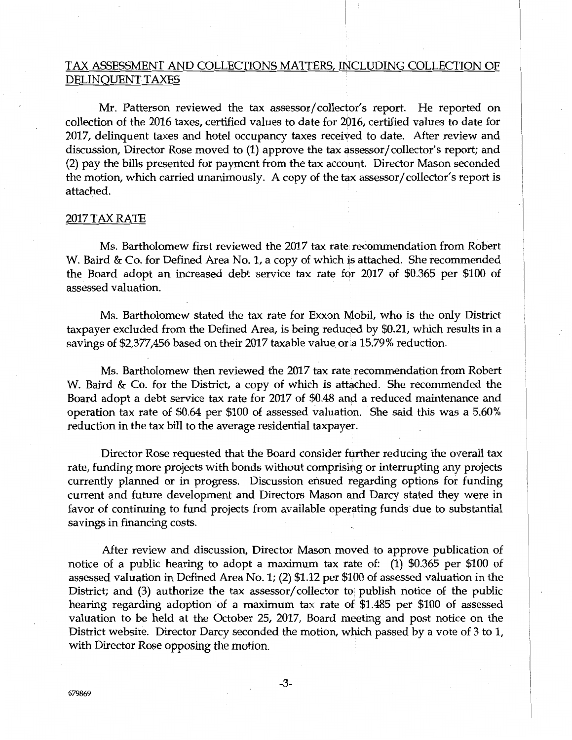# TAX ASSESSMENT AND COLLECTIONS MATTERS, INCLUDING COLLECTION OF DELINQUENT TAXES

Mr. Patterson reviewed the tax assessor/ collector's report. He reported on collection of the 2016 taxes, certified values to date for 2016, certified values to date for 2017, delinquent taxes and hotel occupancy taxes received to date. After review and discussion, Director Rose moved to (1) approve the tax assessor/collector's report; and (2) pay the bills presented for payment from the tax account. Director Mason seconded the motion, which carried unanimously. A copy of the tax assessor/ collector's report is attached.

## 2017 TAX RATE

Ms. Bartholomew first reviewed the 2017 tax rate recommendation from Robert W. Baird & Co. for Defined Area No. 1, a copy of which is attached. She recommended the Board adopt an increased debt service tax rate for 2017 of \$0.365 per \$100 of assessed valuation.

Ms. Bartholomew stated the tax rate for Exxon Mobil, who is the only District taxpayer excluded from the Defined Area, is being reduced by \$0.21, which results in a savings of \$2,377,456 based on their 2017 taxable value or a 15.79% reduction.

Ms. Bartholomew then reviewed the 2017 tax rate recommendation from Robert W. Baird & Co. for the District, a copy of which is attached. She recommended the Board adopt a debt service tax rate for 2017 of \$0.48 and a reduced maintenance and operation tax rate of \$0.64 per \$100 of assessed valuation. She said this was a 5.60% reduction in the tax bill to the average residential taxpayer.

Director Rose requested that the Board consider further reducing the overall tax rate, funding more projects with bonds without comprising or interrupting any projects currently planned or in progress. Discussion ensued regarding options for funding current and future development and Directors Mason and Darcy stated they were in favor of continuing to fund projects from available operating funds due to substantial savings in financing costs.

After review and discussion, Director Mason moved to approve publication of notice of a public hearing to adopt a maximum tax rate of: (1) \$0.365 per \$100 of assessed valuation in Defined Area No. 1; (2) \$1.12 per \$100 of assessed valuation in the District; and  $(3)$  authorize the tax assessor/collector to publish notice of the public hearing regarding adoption of a maximum tax rate of \$1.485 per \$100 of assessed valuation to be held at the October 25, 2017, Board meeting and post notice on the District website. Director Darcy seconded the motion, which passed by a vote of 3 to 1, with Director Rose opposing the motion.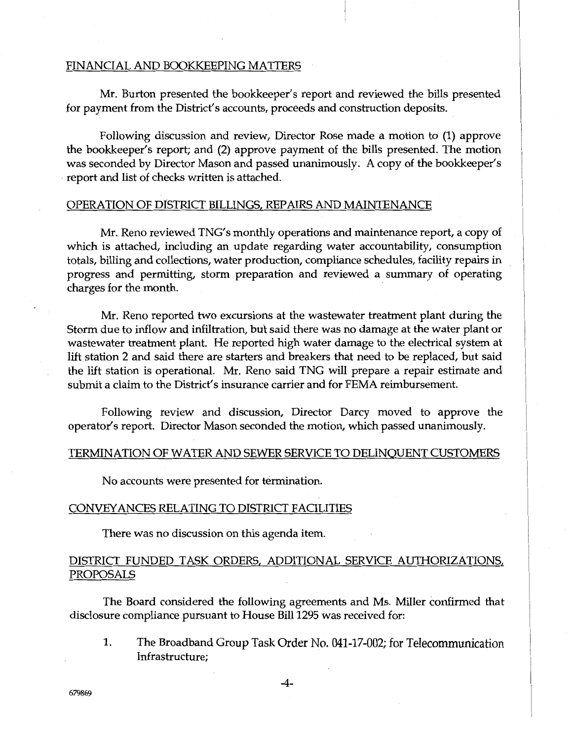### FINANCIAL AND BOOKKEEPING MATTERS

Mr. Burton presented the bookkeeper's report and reviewed the bills presented for payment from the District's accounts, proceeds and construction deposits.

Following discussion and review, Director Rose made a motion to (1) approve the bookkeeper's report; and (2) approve payment of the bills presented. The motion was seconded by Director Mason and passed unanimously. A copy of the bookkeeper's report and list of checks written is attached.

#### OPERATION OF DISTRICT BILLINGS, REPAIRS AND MAINTENANCE

Mr. Reno reviewed TNG's monthly operations and maintenance report, a copy of which is attached, including an update regarding water accountability, consumption totals, billing and collections, water production, compliance schedules, facility repairs in progress and permitting, storm preparation and reviewed a summary of operating charges for the month.

Mr. Reno reported two excursions at the wastewater treatment plant during the Storm due to inflow and infiltration, but said there was no damage at the water plant or wastewater treatment plant. He reported high water damage to the electrical system at lift station 2 and said there are starters and breakers that need to be replaced, but said the lift station is operational. Mr. Reno said TNG will prepare a repair estimate and submit a claim to the District's insurance carrier and for FEMA reimbursement.

Following review and discussion, Director Darcy moved to approve the operator's report. Director Mason seconded the motion, which passed unanimously.

## TERMINATION OF WATER AND SEWER SERVICE TO DELINQUENT CUSTOMERS

No accounts were presented for termination.

#### CONVEYANCES RELATING TO DISTRICT FACILITIES

There was no discussion on this agenda item.

# DISTRICT FUNDED TASK ORDERS, ADDITIONAL SERVICE AUTHORIZATIONS, PROPOSALS

The Board considered the following agreements and Ms. Miller confirmed that disclosure compliance pursuant to House Bill 1295 was received for:

1. The Broadband Group Task Order No. 041-17-002; for Telecommunication Infrastructure;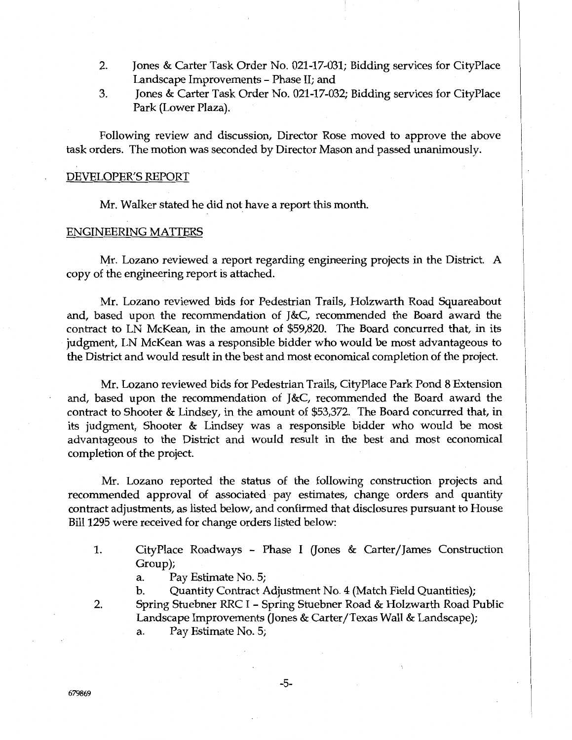- 2. Jones & Carter Task Order No. 021-17-031; Bidding services for CityPlace Landscape Improvements - Phase II; and
- 3. Jones & Carter Task Order No. 021-17-032; Bidding services for CityPlace Park (Lower Plaza).

Following review and discussion, Director Rose moved to approve the above task orders. The motion was seconded by Director Mason and passed unanimously.

#### DEVELOPER'S REPORT

Mr. Walker stated he did not have a report this month.

#### ENGINEERING MATTERS

Mr. Lozano reviewed a report regarding engineering projects in the District. A copy of the engineering report is attached.

Mr. Lozano reviewed bids for Pedestrian Trails, Holzwarth Road Squareabout and, based upon the recommendation of J&C, recommended the Board award the contract to LN McKean, in the amount of \$59,820. The Board concurred that, in its judgment, LN McKean was a responsible bidder who would be most advantageous to the District and would result in the best and most economical completion of the project.

Mr. Lozano reviewed bids for Pedestrian Trails, CityPlace Park Pond 8 Extension and, based upon the recommendation of J&C, recommended the Board award the contract to Shooter & Lindsey, in the amount of \$53,372. The Board concurred that, in its judgment, Shooter & Lindsey was a responsible bidder who would be most advantageous to the District and would result in the best and most economical completion of the project.

Mr. Lozano reported the status of the following construction projects and recommended approval of associated pay estimates, change orders and quantity contract adjustments, as listed below, and confirmed that disclosures pursuant to House Bill 1295 were received for change orders listed below:

1. CityPlace Roadways - Phase I Gones & Carter/James Construction Group);

a. Pay Estimate No. 5;

b. Quantity Contract Adjustment No. 4 (Match Field Quantities);

2. Spring Stuebner RRC I - Spring Stuebner Road & Holzwarth Road Public Landscape Improvements (Jones & Carter/Texas Wall & Landscape); a. Pay Estimate No. 5;

-5-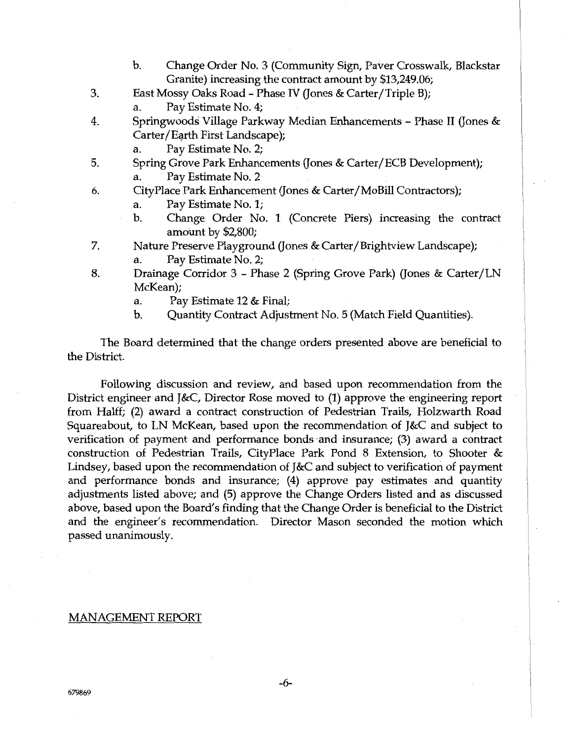- b. Change Order No. 3 (Community Sign, Paver Crosswalk, Blackstar Granite) increasing the contract amount by \$13,249.06;
- 3. East Mossy Oaks Road Phase IV (Jones & Carter/Triple B);
	- a. Pay Estimate No. 4;
- 4. Springwoods· Village Parkway Median Enhancements Phase II (Jones & Carter/Eqrth First Landscape);
	- a. Pay Estimate No. 2;
- 5. Spring Grove Park Enhancements (Jones & Carter/ECB Development); Pay Estimate No. 2
- 6. CityPlace Park Enhancement (Jones & Carter/MoBill Contractors);
	- a. Pay Estimate No. 1;
	- b. Change Order No. 1 (Concrete Piers) increasing the contract amount by \$2,800;
- 7. Nature Preserve Playground (Jones & Carter/Brightview Landscape); a. Pay Estimate No. 2;
- 8. Drainage Corridor 3 Phase 2 (Spring Grove Park) (Jones & Carter/LN McKean);
	- a. Pay Estimate 12 & Final;
	- b. Quantity Contract Adjustment No. 5 (Match Field Quantities).

The Board determined that the change orders presented above are beneficial to the District.

Following discussion and review, and based upon recommendation from the District engineer and J&C, Director Rose moved to (1) approve the engineering report from Halff; (2) award a contract construction of Pedestrian Trails, Holzwarth Road Squareabout, to LN McKean, based upon the recommendation of J&C and subject to verification of payment and performance bonds ·and insurance; (3) award a contract construction of Pedestrian Trails, CityPlace Park Pond 8 Extension, to Shooter & Lindsey, based upon the recommendation of J&C and subject to verification of payment and performance bonds and insurance; (4) approve pay estimates and quantity adjustments listed above; and (5) approve the Change Orders listed and as discussed above, based upon the Board's finding that the Change Order is beneficial to the District and the engineer's recommendation. Director Mason seconded the motion which passed unanimously.

#### MANAGEMENT REPORT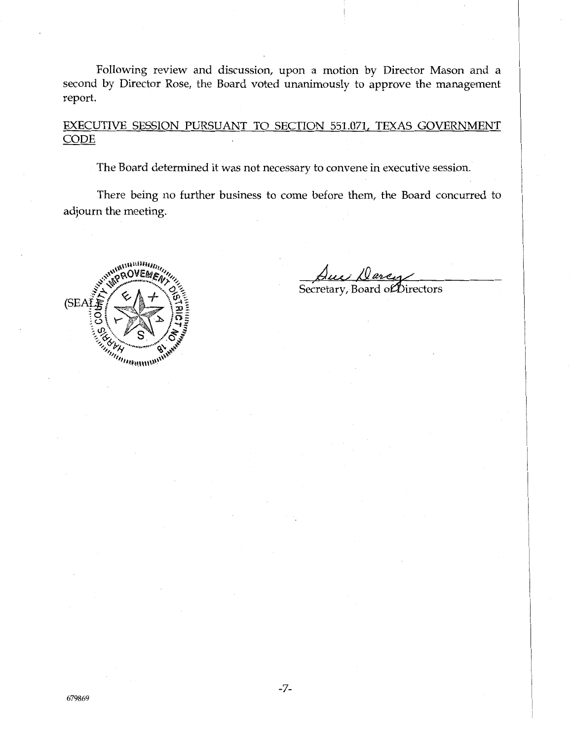Following review and discussion, upon a motion by Director Mason and a second by Director Rose, the Board voted unanimously to approve the management report.

EXECUTIVE SESSION PURSUANT TO SECTION 551.071, TEXAS GOVERNMENT **CODE** 

The Board determined it was not necessary to convene in executive session.

There being no further business to come before them, the Board concurred to adjourn the meeting.



Secretary, Board of Directors